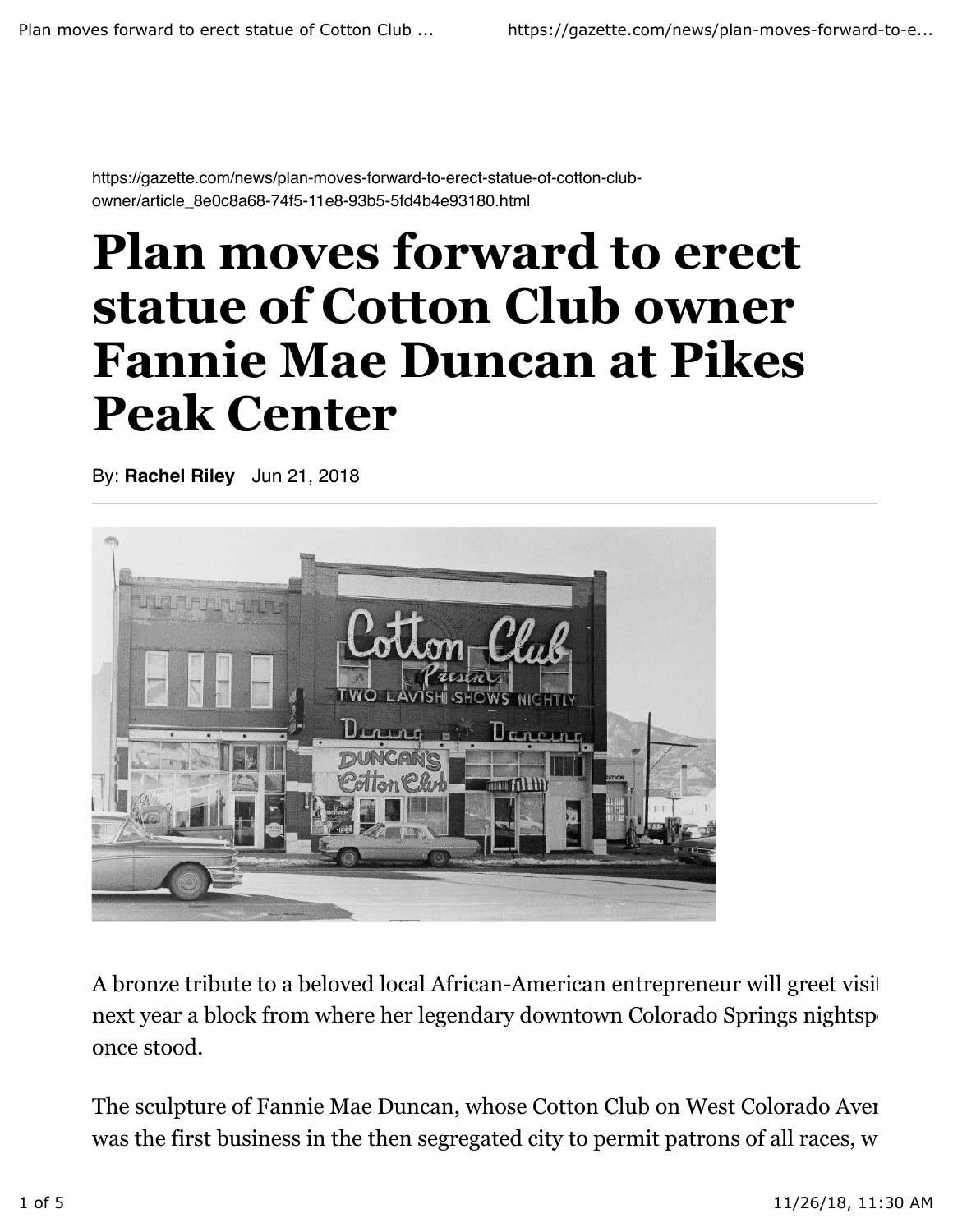https://gazette.com/news/plan-moves-forward-to-erect-statue-of-cotton-clubowner/article\_8e0c8a68-74f5-11e8-93b5-5fd4b4e93180.html

## **Plan moves forward to erect statue of Cotton Club owner Fannie Mae Duncan at Pikes Peak Center**

By: **Rachel Riley** Jun 21, 2018



A bronze tribute to a beloved local African-American entrepreneur will greet visit next year a block from where her legendary downtown Colorado Springs nightsp once stood.

The sculpture of Fannie Mae Duncan, whose Cotton Club on West Colorado Aver was the first business in the then segregated city to permit patrons of all races, w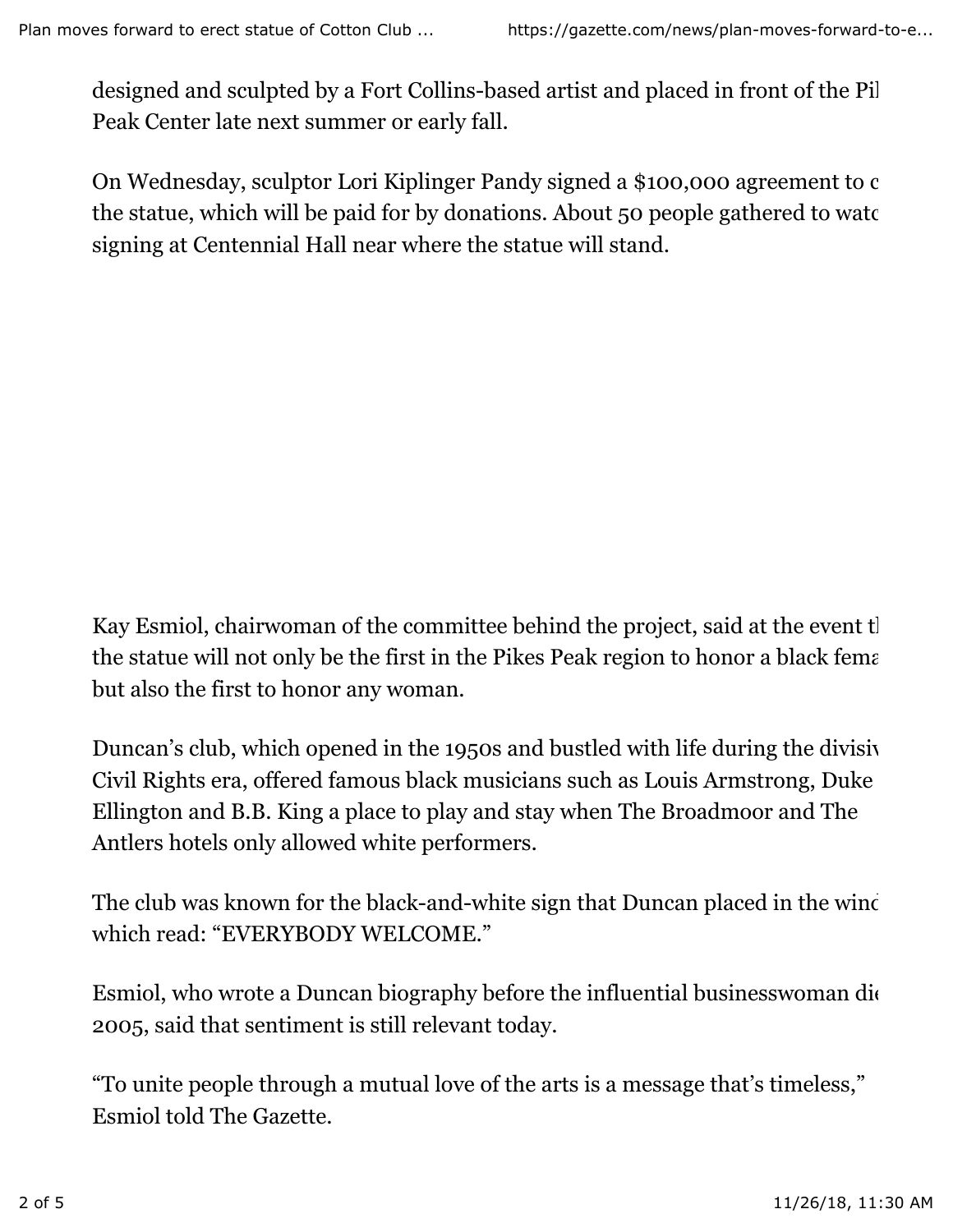designed and sculpted by a Fort Collins-based artist and placed in front of the Pil Peak Center late next summer or early fall.

On Wednesday, sculptor Lori Kiplinger Pandy signed a \$100,000 agreement to c the statue, which will be paid for by donations. About 50 people gathered to watch signing at Centennial Hall near where the statue will stand.

Kay Esmiol, chairwoman of the committee behind the project, said at the event that the statue will not only be the first in the Pikes Peak region to honor a black female. but also the first to honor any woman.

Duncan's club, which opened in the 1950s and bustled with life during the divisive Civil Rights era, offered famous black musicians such as Louis Armstrong, Duke Ellington and B.B. King a place to play and stay when The Broadmoor and The Antlers hotels only allowed white performers.

The club was known for the black-and-white sign that Duncan placed in the wind which read: "EVERYBODY WELCOME."

Esmiol, who wrote a Duncan biography before the influential businesswoman die 2005, said that sentiment is still relevant today.

"To unite people through a mutual love of the arts is a message that's timeless," Esmiol told The Gazette.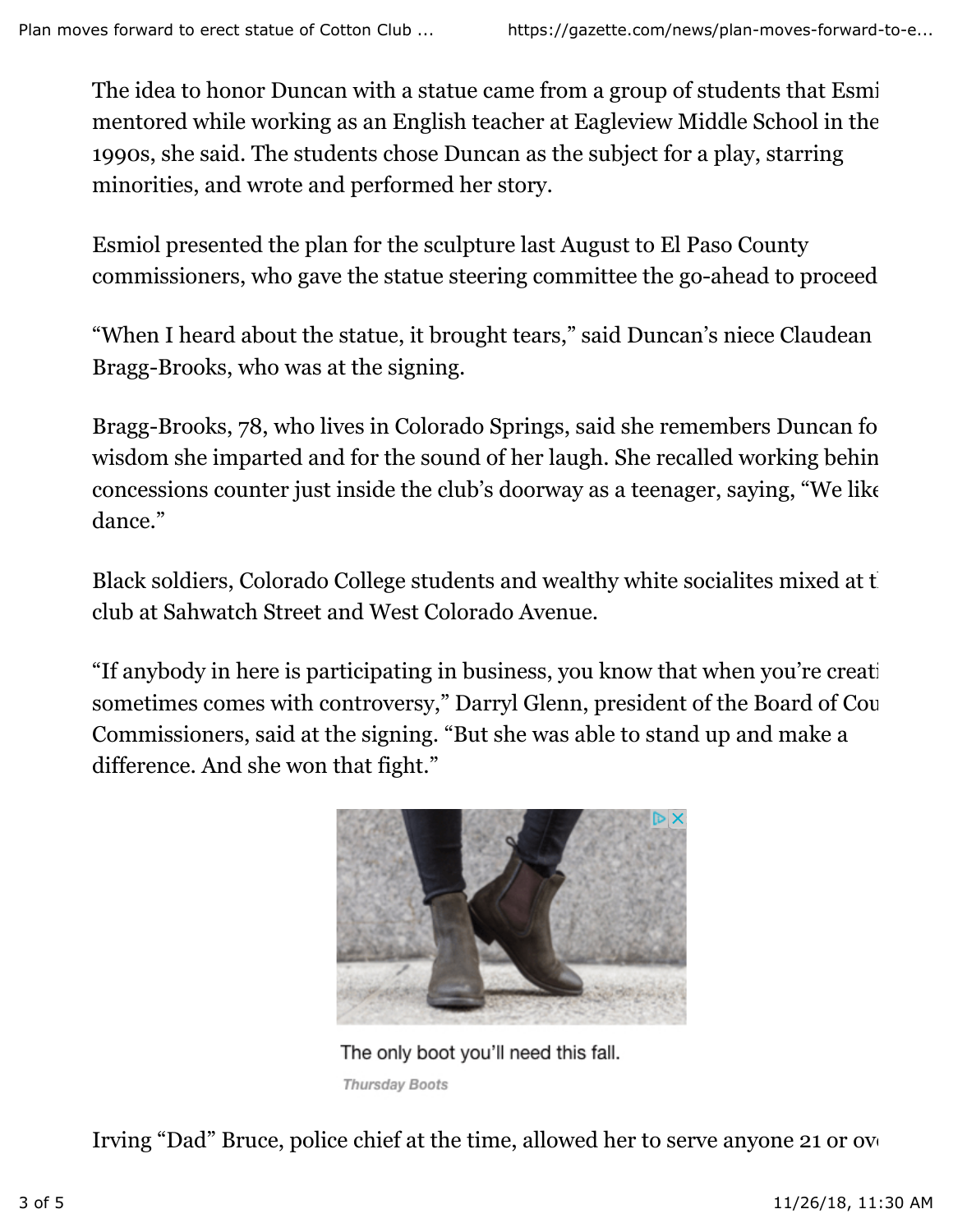The idea to honor Duncan with a statue came from a group of students that Esmi mentored while working as an English teacher at Eagleview Middle School in the 1990s, she said. The students chose Duncan as the subject for a play, starring minorities, and wrote and performed her story.

Esmiol presented the plan for the sculpture last August to El Paso County commissioners, who gave the statue steering committee the go-ahead to proceed.

"When I heard about the statue, it brought tears," said Duncan's niece Claudean Bragg-Brooks, who was at the signing.

Bragg-Brooks, 78, who lives in Colorado Springs, said she remembers Duncan for wisdom she imparted and for the sound of her laugh. She recalled working behin concessions counter just inside the club's doorway as a teenager, saying, "We like dance."

Black soldiers, Colorado College students and wealthy white socialites mixed at t club at Sahwatch Street and West Colorado Avenue.

"If anybody in here is participating in business, you know that when you're creat sometimes comes with controversy," Darryl Glenn, president of the Board of Cou Commissioners, said at the signing. "But she was able to stand up and make a difference. And she won that fight."



The only boot you'll need this fall. **Thursday Boots** 

Irving "Dad" Bruce, police chief at the time, allowed her to serve anyone 21 or over.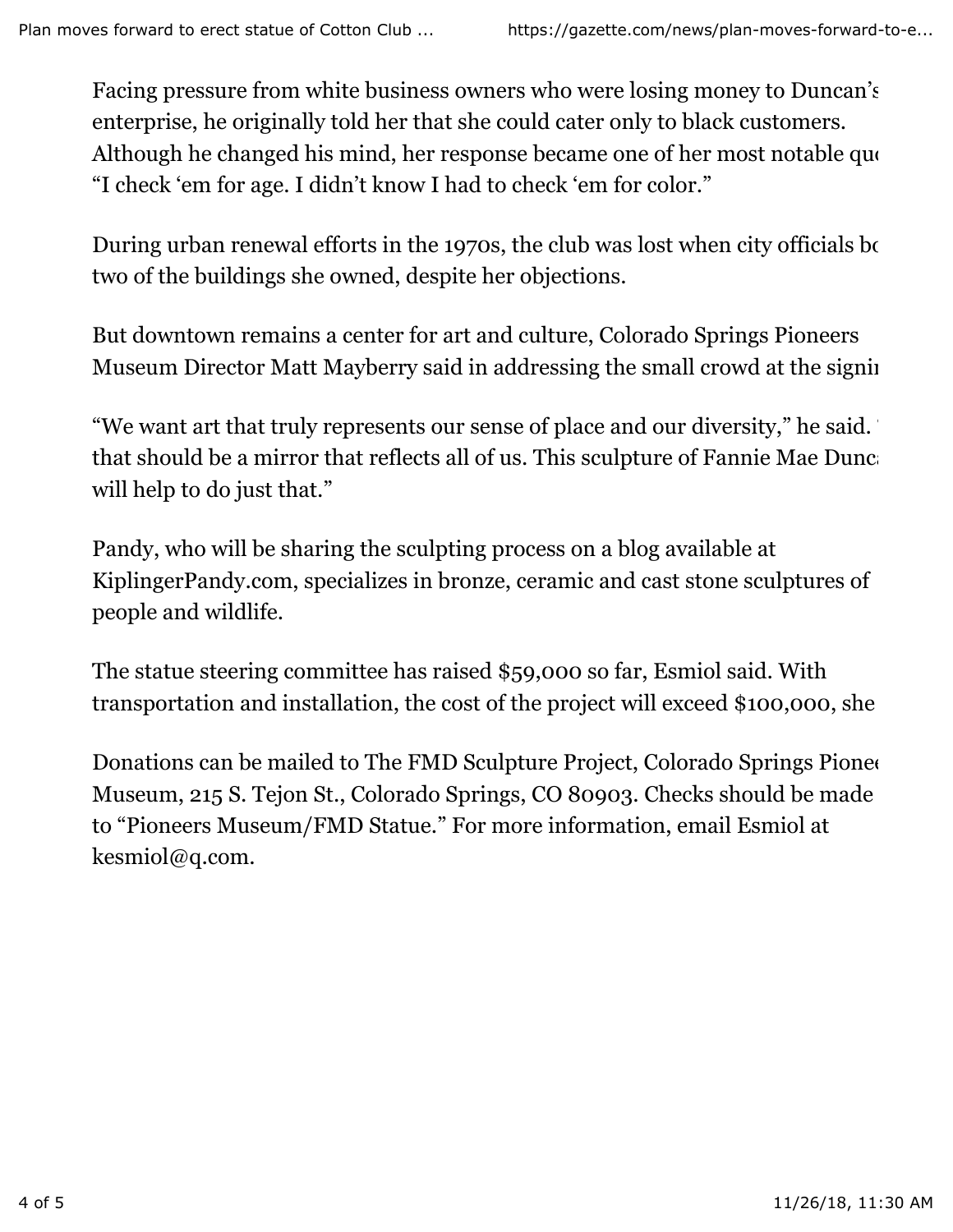Facing pressure from white business owners who were losing money to Duncan's enterprise, he originally told her that she could cater only to black customers. Although he changed his mind, her response became one of her most notable quotes: "I check 'em for age. I didn't know I had to check 'em for color."

During urban renewal efforts in the 1970s, the club was lost when city officials bought two of the buildings she owned, despite her objections.

But downtown remains a center for art and culture, Colorado Springs Pioneers Museum Director Matt Mayberry said in addressing the small crowd at the signing.

"We want art that truly represents our sense of place and our diversity," he said. that should be a mirror that reflects all of us. This sculpture of Fannie Mae Duncan will help to do just that."

Pandy, who will be sharing the sculpting process on a blog available at KiplingerPandy.com, specializes in bronze, ceramic and cast stone sculptures of people and wildlife.

The statue steering committee has raised \$59,000 so far, Esmiol said. With transportation and installation, the cost of the project will exceed \$100,000, she

Donations can be mailed to The FMD Sculpture Project, Colorado Springs Pioneers Museum, 215 S. Tejon St., Colorado Springs, CO 80903. Checks should be made to "Pioneers Museum/FMD Statue." For more information, email Esmiol at kesmiol@q.com.